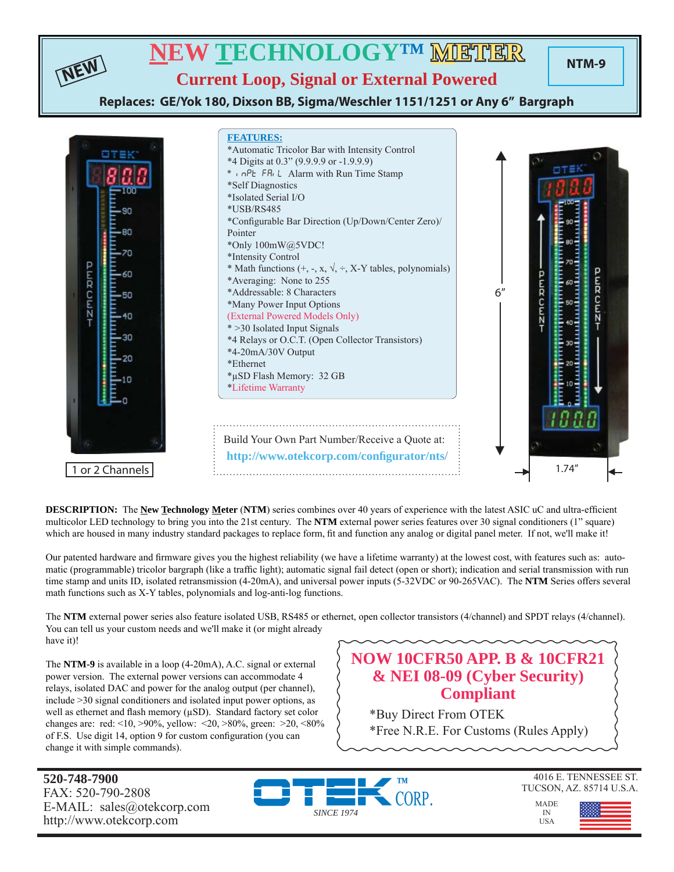

**DESCRIPTION:** The **New Technology Meter** (NTM) series combines over 40 years of experience with the latest ASIC uC and ultra-efficient multicolor LED technology to bring you into the 21st century. The **NTM** external power series features over 30 signal conditioners (1" square) which are housed in many industry standard packages to replace form, fit and function any analog or digital panel meter. If not, we'll make it!

Our patented hardware and firmware gives you the highest reliability (we have a lifetime warranty) at the lowest cost, with features such as: automatic (programmable) tricolor bargraph (like a traffic light); automatic signal fail detect (open or short); indication and serial transmission with run time stamp and units ID, isolated retransmission (4-20mA), and universal power inputs (5-32VDC or 90-265VAC). The **NTM** Series offers several math functions such as X-Y tables, polynomials and log-anti-log functions.

The **NTM** external power series also feature isolated USB, RS485 or ethernet, open collector transistors (4/channel) and SPDT relays (4/channel). You can tell us your custom needs and we'll make it (or might already have it)!

The **NTM-9** is available in a loop (4-20mA), A.C. signal or external power version. The external power versions can accommodate 4 relays, isolated DAC and power for the analog output (per channel), include >30 signal conditioners and isolated input power options, as well as ethernet and flash memory  $(\mu SD)$ . Standard factory set color changes are: red: <10, >90%, yellow: <20, >80%, green: >20, <80% of F.S. Use digit 14, option 9 for custom configuration (you can change it with simple commands).

### **NOW 10CFR50 APP. B & 10CFR21 & NEI 08-09 (Cyber Security) Compliant**

\*Buy Direct From OTEK \*Free N.R.E. For Customs (Rules Apply)

**520-748-7900** FAX: 520-790-2808 E-MAIL: sales@otekcorp.com http://www.otekcorp.com



4016 E. TENNESSEE ST. TUCSON, AZ. 85714 U.S.A.

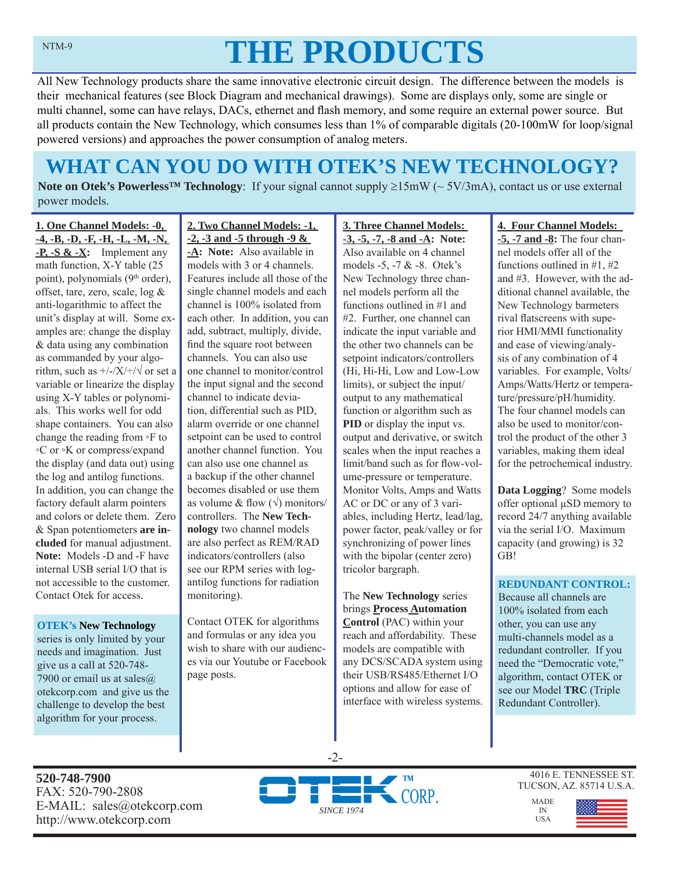# **THE PRODUCTS**

All New Technology products share the same innovative electronic circuit design. The difference between the models is their mechanical features (see Block Diagram and mechanical drawings). Some are displays only, some are single or multi channel, some can have relays, DACs, ethernet and flash memory, and some require an external power source. But all products contain the New Technology, which consumes less than 1% of comparable digitals (20-100mW for loop/signal powered versions) and approaches the power consumption of analog meters.

# **WHAT CAN YOU DO WITH OTEK'S NEW TECHNOLOGY?**

**Note on Otek's Powerless<sup>™</sup> Technology**: If your signal cannot supply ≥15mW (~ 5V/3mA), contact us or use external power models.

**1. One Channel Models: -0, -4, -B, -D, -F, -H, -L, -M, -N, -P, -S & -X:** Implement any math function, X-Y table (25 point), polynomials  $(9<sup>th</sup> order)$ , offset, tare, zero, scale, log & anti-logarithmic to affect the unit's display at will. Some examples are: change the display & data using any combination as commanded by your algorithm, such as  $\frac{+}{2}$ / $\frac{\sqrt{+}}{2}$  or set a variable or linearize the display using X-Y tables or polynomials. This works well for odd shape containers. You can also change the reading from ◦F to ◦C or ◦K or compress/expand the display (and data out) using the log and antilog functions. In addition, you can change the factory default alarm pointers and colors or delete them. Zero & Span potentiometers **are included** for manual adjustment. **Note:** Models -D and -F have internal USB serial I/O that is not accessible to the customer. Contact Otek for access.

#### **OTEK's New Technology**

series is only limited by your needs and imagination. Just give us a call at 520-748- 7900 or email us at sales $\omega$ otekcorp.com and give us the challenge to develop the best algorithm for your process.

**2. Two Channel Models: -1, -2, -3 and -5 through -9 & -A: Note:** Also available in models with 3 or 4 channels. Features include all those of the single channel models and each channel is 100% isolated from each other. In addition, you can add, subtract, multiply, divide, find the square root between channels. You can also use one channel to monitor/control the input signal and the second channel to indicate deviation, differential such as PID, alarm override or one channel setpoint can be used to control another channel function. You can also use one channel as a backup if the other channel becomes disabled or use them as volume & flow  $(\sqrt{})$  monitors/ controllers. The **New Technology** two channel models are also perfect as REM/RAD indicators/controllers (also see our RPM series with logantilog functions for radiation monitoring).

Contact OTEK for algorithms and formulas or any idea you wish to share with our audiences via our Youtube or Facebook page posts.

**3. Three Channel Models: -3, -5, -7, -8 and -A: Note:**  Also available on 4 channel models -5, -7 & -8. Otek's New Technology three channel models perform all the functions outlined in #1 and #2. Further, one channel can indicate the input variable and the other two channels can be setpoint indicators/controllers (Hi, Hi-Hi, Low and Low-Low limits), or subject the input/ output to any mathematical function or algorithm such as **PID** or display the input vs. output and derivative, or switch scales when the input reaches a limit/band such as for flow-volume-pressure or temperature. Monitor Volts, Amps and Watts AC or DC or any of 3 variables, including Hertz, lead/lag, power factor, peak/valley or for synchronizing of power lines with the bipolar (center zero) tricolor bargraph.

The **New Technology** series brings **Process Automation Control** (PAC) within your reach and affordability. These models are compatible with any DCS/SCADA system using their USB/RS485/Ethernet I/O options and allow for ease of interface with wireless systems.

#### **4. Four Channel Models:**

**-5, -7 and -8:** The four channel models offer all of the functions outlined in #1, #2 and #3. However, with the additional channel available, the New Technology barmeters rival flatscreens with superior HMI/MMI functionality and ease of viewing/analysis of any combination of 4 variables. For example, Volts/ Amps/Watts/Hertz or temperature/pressure/pH/humidity. The four channel models can also be used to monitor/control the product of the other 3 variables, making them ideal for the petrochemical industry.

**Data Logging**? Some models offer optional μSD memory to record 24/7 anything available via the serial I/O. Maximum capacity (and growing) is 32 GB!

#### **REDUNDANT CONTROL:**

Because all channels are 100% isolated from each other, you can use any multi-channels model as a redundant controller. If you need the "Democratic vote," algorithm, contact OTEK or see our Model **TRC** (Triple Redundant Controller).

**520-748-7900** FAX: 520-790-2808 E-MAIL: sales@otekcorp.com http://www.otekcorp.com



-2-

4016 E. TENNESSEE ST. TUCSON, AZ. 85714 U.S.A.

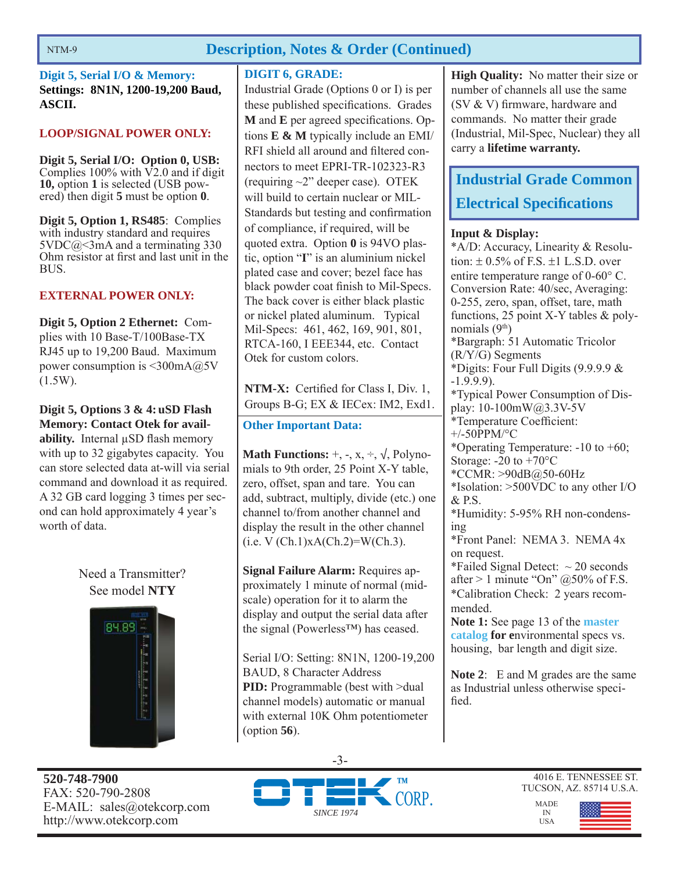#### **Description, Notes & Order (Continued)**

**Digit 5, Serial I/O & Memory: Settings: 8N1N, 1200-19,200 Baud, ASCII.**

#### **LOOP/SIGNAL POWER ONLY:**

**Digit 5, Serial I/O: Option 0, USB:**  Complies  $100\%$  with  $\overline{V2.0}$  and if digit **10,** option **1** is selected (USB powered) then digit **5** must be option **0**.

**Digit 5, Option 1, RS485**: Complies with industry standard and requires  $5VDC@<3mA$  and a terminating 330 Ohm resistor at first and last unit in the BUS.

#### **EXTERNAL POWER ONLY:**

**Digit 5, Option 2 Ethernet:** Complies with 10 Base-T/100Base-TX RJ45 up to 19,200 Baud. Maximum power consumption is <300mA@5V (1.5W).

#### **Digit 5, Options 3 & 4: uSD Flash Memory: Contact Otek for avail-**

**ability.** Internal μSD flash memory with up to 32 gigabytes capacity. You can store selected data at-will via serial command and download it as required. A 32 GB card logging 3 times per second can hold approximately 4 year's worth of data.

Need a Transmitter? See model **NTY**



#### **DIGIT 6, GRADE:**

Industrial Grade (Options 0 or I) is per these published specifications. Grades **M** and **E** per agreed specifications. Options **E & M** typically include an EMI/ RFI shield all around and filtered connectors to meet EPRI-TR-102323-R3 (requiring ~2" deeper case). OTEK will build to certain nuclear or MIL-Standards but testing and confirmation of compliance, if required, will be quoted extra. Option **0** is 94VO plastic, option "**I**" is an aluminium nickel plated case and cover; bezel face has black powder coat finish to Mil-Specs. The back cover is either black plastic or nickel plated aluminum. Typical Mil-Specs: 461, 462, 169, 901, 801, RTCA-160, I EEE344, etc. Contact Otek for custom colors.

**NTM-X:** Certified for Class I, Div. 1, Groups B-G; EX & IECex: IM2, Exd1.

#### **Other Important Data:**

**Math Functions:**  $+$ ,  $-$ ,  $x$ ,  $\div$ ,  $\sqrt{}$ , Polynomials to 9th order, 25 Point X-Y table, zero, offset, span and tare. You can add, subtract, multiply, divide (etc.) one channel to/from another channel and display the result in the other channel  $(i.e. V (Ch.1)xA(Ch.2)=W(Ch.3).$ 

**Signal Failure Alarm:** Requires approximately 1 minute of normal (midscale) operation for it to alarm the display and output the serial data after the signal (Powerless™) has ceased.

Serial I/O: Setting: 8N1N, 1200-19,200 BAUD, 8 Character Address **PID:** Programmable (best with >dual channel models) automatic or manual with external 10K Ohm potentiometer (option **56**).

**High Quality:** No matter their size or number of channels all use the same (SV  $&$  V) firmware, hardware and commands. No matter their grade (Industrial, Mil-Spec, Nuclear) they all carry a **lifetime warranty.**

# **Industrial Grade Common Electrical Specifi cations**

#### **Input & Display:**

\*A/D: Accuracy, Linearity & Resolution:  $\pm$  0.5% of F.S.  $\pm$ 1 L.S.D. over entire temperature range of  $0\n-60^{\circ}$  C. Conversion Rate: 40/sec, Averaging: 0-255, zero, span, offset, tare, math functions, 25 point X-Y tables & polynomials  $(9<sup>th</sup>)$ \*Bargraph: 51 Automatic Tricolor (R/Y/G) Segments \*Digits: Four Full Digits (9.9.9.9 & -1.9.9.9). \*Typical Power Consumption of Display: 10-100mW@3.3V-5V \*Temperature Coefficient: +/-50PPM/°C \*Operating Temperature: -10 to +60; Storage:  $-20$  to  $+70^{\circ}$ C \*CCMR: >90dB@50-60Hz \*Isolation: >500VDC to any other I/O & P.S. \*Humidity: 5-95% RH non-condensing \*Front Panel: NEMA 3. NEMA 4x on request. \*Failed Signal Detect:  $\sim$  20 seconds after  $> 1$  minute "On" @50% of F.S. \*Calibration Check: 2 years recommended. **Note 1:** See page 13 of the **master catalog for e**nvironmental specs vs. housing, bar length and digit size.

**Note 2**: E and M grades are the same as Industrial unless otherwise specified.





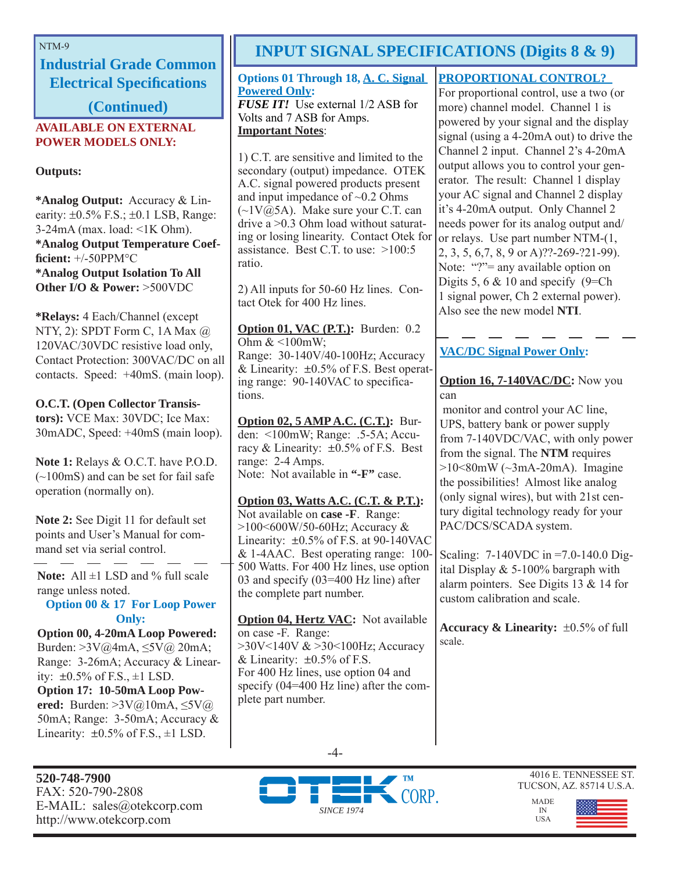**Industrial Grade Common Electrical Specifications** 

**(Continued)**

#### **AVAILABLE ON EXTERNAL POWER MODELS ONLY:**

**Outputs:**

**\*Analog Output:** Accuracy & Linearity:  $\pm 0.5\%$  F.S.;  $\pm 0.1$  LSB, Range: 3-24mA (max. load: <1K Ohm). **\*Analog Output Temperature Coeffi cient:** +/-50PPM°C **\*Analog Output Isolation To All Other I/O & Power:** >500VDC

**\*Relays:** 4 Each/Channel (except NTY, 2): SPDT Form C, 1A Max @ 120VAC/30VDC resistive load only, Contact Protection: 300VAC/DC on all contacts. Speed: +40mS. (main loop).

#### **O.C.T. (Open Collector Transis-**

**tors):** VCE Max: 30VDC; Ice Max: 30mADC, Speed: +40mS (main loop).

**Note 1:** Relays & O.C.T. have P.O.D. (~100mS) and can be set for fail safe operation (normally on).

**Note 2:** See Digit 11 for default set points and User's Manual for command set via serial control.

**Note:** All ±1 LSD and % full scale range unless noted.

#### **Option 00 & 17 For Loop Power Only:**

**Option 00, 4-20mA Loop Powered:**  Burden: >3V@4mA, ≤5V@ 20mA; Range: 3-26mA; Accuracy & Linearity:  $\pm 0.5\%$  of F.S.,  $\pm 1$  LSD. **Option 17: 10-50mA Loop Powered:** Burden: >3V@10mA, ≤5V@ 50mA; Range: 3-50mA; Accuracy & Linearity:  $\pm 0.5\%$  of F.S.,  $\pm 1$  LSD.

**520-748-7900** FAX: 520-790-2808 E-MAIL: sales@otekcorp.com http://www.otekcorp.com

# NTM-9 **INPUT SIGNAL SPECIFICATIONS (Digits 8 & 9)**

#### **Options 01 Through 18, A. C. Signal Powered Only:**

*FUSE IT!* Use external 1/2 ASB for Volts and 7 ASB for Amps. **Important Notes**:

1) C.T. are sensitive and limited to the secondary (output) impedance. OTEK A.C. signal powered products present and input impedance of  $\sim 0.2$  Ohms  $(\sim 1 \text{V}(\hat{\omega})$  SA). Make sure your C.T. can drive a >0.3 Ohm load without saturating or losing linearity. Contact Otek for assistance. Best C.T. to use: >100:5 ratio.

2) All inputs for 50-60 Hz lines. Contact Otek for 400 Hz lines.

**Option 01, VAC (P.T.):** Burden: 0.2 Ohm & <100mW; Range: 30-140V/40-100Hz; Accuracy & Linearity:  $\pm 0.5\%$  of F.S. Best operating range: 90-140VAC to specifications.

**Option 02, 5 AMP A.C. (C.T.):** Burden: <100mW; Range: .5-5A; Accuracy & Linearity:  $\pm 0.5\%$  of F.S. Best range: 2-4 Amps. Note: Not available in **"-F"** case.

#### **Option 03, Watts A.C. (C.T. & P.T.):**

Not available on **case -F**. Range: >100<600W/50-60Hz; Accuracy & Linearity:  $\pm 0.5\%$  of F.S. at 90-140VAC & 1-4AAC. Best operating range: 100- 500 Watts. For 400 Hz lines, use option 03 and specify (03=400 Hz line) after the complete part number.

**Option 04, Hertz VAC:** Not available on case -F. Range: >30V<140V & >30<100Hz; Accuracy & Linearity:  $\pm 0.5\%$  of F.S. For 400 Hz lines, use option 04 and specify (04=400 Hz line) after the complete part number.

#### **PROPORTIONAL CONTROL?**

For proportional control, use a two (or more) channel model. Channel 1 is powered by your signal and the display signal (using a 4-20mA out) to drive the Channel 2 input. Channel 2's 4-20mA output allows you to control your generator. The result: Channel 1 display your AC signal and Channel 2 display it's 4-20mA output. Only Channel 2 needs power for its analog output and/ or relays. Use part number NTM-(1, 2, 3, 5, 6,7, 8, 9 or A)??-269-?21-99). Note: "?"= any available option on Digits 5, 6  $& 10$  and specify (9=Ch) 1 signal power, Ch 2 external power). Also see the new model **NTI**.

#### **VAC/DC Signal Power Only:**

#### **Option 16, 7-140VAC/DC:** Now you can

 monitor and control your AC line, UPS, battery bank or power supply from 7-140VDC/VAC, with only power from the signal. The **NTM** requires  $>10<80$ mW ( $\sim$ 3mA-20mA). Imagine the possibilities! Almost like analog (only signal wires), but with 21st century digital technology ready for your PAC/DCS/SCADA system.

Scaling: 7-140VDC in =7.0-140.0 Digital Display & 5-100% bargraph with alarm pointers. See Digits 13 & 14 for custom calibration and scale.

**Accuracy & Linearity:**  $\pm 0.5\%$  of full scale.





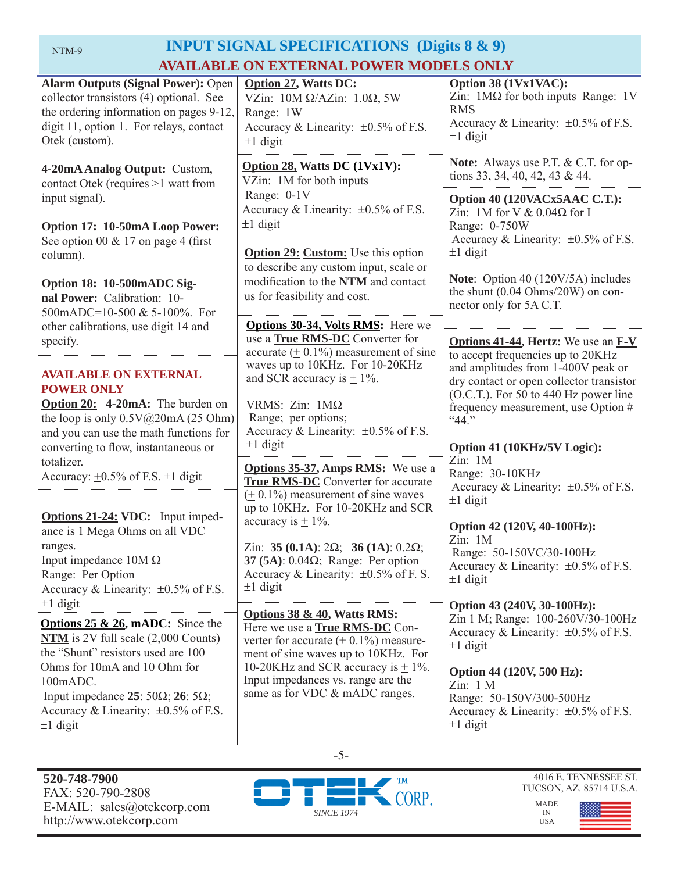# NTM-9 **INPUT SIGNAL SPECIFICATIONS (Digits 8 & 9) AVAILABLE ON EXTERNAL POWER MODELS ONLY**

| <b>Alarm Outputs (Signal Power): Open</b><br>collector transistors (4) optional. See<br>the ordering information on pages 9-12,<br>digit 11, option 1. For relays, contact<br>Otek (custom).                                                                                                               | <b>Option 27, Watts DC:</b><br>VZin: $10M \Omega/AZ$ in: $1.0\Omega$ , 5W<br>Range: 1W<br>Accuracy & Linearity: $\pm 0.5\%$ of F.S.<br>$\pm 1$ digit                                                                                                                                | Option 38 (1Vx1VAC):<br>Zin: $1\text{M}\Omega$ for both inputs Range: 1V<br><b>RMS</b><br>Accuracy & Linearity: $\pm 0.5\%$ of F.S.<br>$\pm 1$ digit                                                                                                           |
|------------------------------------------------------------------------------------------------------------------------------------------------------------------------------------------------------------------------------------------------------------------------------------------------------------|-------------------------------------------------------------------------------------------------------------------------------------------------------------------------------------------------------------------------------------------------------------------------------------|----------------------------------------------------------------------------------------------------------------------------------------------------------------------------------------------------------------------------------------------------------------|
| 4-20mA Analog Output: Custom,<br>contact Otek (requires >1 watt from                                                                                                                                                                                                                                       | Option 28, Watts DC (1Vx1V):<br>VZin: 1M for both inputs                                                                                                                                                                                                                            | <b>Note:</b> Always use P.T. & C.T. for op-<br>tions 33, 34, 40, 42, 43 & 44.                                                                                                                                                                                  |
| input signal).<br>Option 17: 10-50mA Loop Power:<br>See option 00 $& 17$ on page 4 (first                                                                                                                                                                                                                  | Range: 0-1V<br>Accuracy & Linearity: $\pm 0.5\%$ of F.S.<br>$\pm 1$ digit                                                                                                                                                                                                           | Option 40 (120VACx5AAC C.T.):<br>Zin: 1M for V & $0.04\Omega$ for I<br>Range: 0-750W<br>Accuracy & Linearity: $\pm 0.5\%$ of F.S.                                                                                                                              |
| column).                                                                                                                                                                                                                                                                                                   | <b>Option 29: Custom:</b> Use this option<br>to describe any custom input, scale or                                                                                                                                                                                                 | $\pm 1$ digit                                                                                                                                                                                                                                                  |
| Option 18: 10-500mADC Sig-<br>nal Power: Calibration: 10-<br>500mADC=10-500 & 5-100%. For                                                                                                                                                                                                                  | modification to the NTM and contact<br>us for feasibility and cost.                                                                                                                                                                                                                 | Note: Option 40 (120V/5A) includes<br>the shunt $(0.04 \text{ Ohms}/20W)$ on con-<br>nector only for 5A C.T.                                                                                                                                                   |
| other calibrations, use digit 14 and<br>specify.                                                                                                                                                                                                                                                           | Options 30-34, Volts RMS: Here we<br>use a True RMS-DC Converter for<br>accurate $(± 0.1\%)$ measurement of sine                                                                                                                                                                    | <b>Options 41-44, Hertz:</b> We use an <b>F-V</b><br>to accept frequencies up to 20KHz                                                                                                                                                                         |
| <b>AVAILABLE ON EXTERNAL</b><br><b>POWER ONLY</b><br><b>Option 20:</b> 4-20mA: The burden on<br>the loop is only $0.5V@20mA(25 Ohm)$<br>and you can use the math functions for                                                                                                                             | waves up to 10KHz. For 10-20KHz<br>and amplitudes from 1-400V peak or<br>and SCR accuracy is $\pm$ 1%.<br>VRMS: Zin: $1M\Omega$<br>Range; per options;<br>``44."<br>Accuracy & Linearity: ±0.5% of F.S.                                                                             | dry contact or open collector transistor<br>(O.C.T.). For 50 to 440 Hz power line<br>frequency measurement, use Option #                                                                                                                                       |
| converting to flow, instantaneous or<br>totalizer.<br>Accuracy: $\pm 0.5\%$ of F.S. $\pm 1$ digit                                                                                                                                                                                                          | $\pm 1$ digit<br><b>Options 35-37, Amps RMS:</b> We use a<br><b>True RMS-DC</b> Converter for accurate<br>$(± 0.1%)$ measurement of sine waves<br>up to 10KHz. For 10-20KHz and SCR                                                                                                 | Option 41 (10KHz/5V Logic):<br>Zin: 1M<br>Range: 30-10KHz<br>Accuracy & Linearity: $\pm 0.5\%$ of F.S.<br>$\pm 1$ digit                                                                                                                                        |
| <b>Options 21-24: VDC:</b> Input imped-<br>ance is 1 Mega Ohms on all VDC<br>ranges.<br>Input impedance $10M \Omega$<br>Range: Per Option<br>Accuracy & Linearity: $\pm 0.5\%$ of F.S.                                                                                                                     | accuracy is $\pm$ 1%.<br>Zin: 35 (0.1A): $2\Omega$ ; 36 (1A): 0.2 $\Omega$ ;<br>37 (5A): $0.04\Omega$ ; Range: Per option<br>Accuracy & Linearity: $\pm 0.5\%$ of F. S.<br>$\pm 1$ digit                                                                                            | Option 42 (120V, 40-100Hz):<br>Zin: 1M<br>Range: 50-150VC/30-100Hz<br>Accuracy & Linearity: $\pm 0.5\%$ of F.S.<br>$\pm 1$ digit                                                                                                                               |
| $±1$ digit<br><b>Options 25 &amp; 26, mADC:</b> Since the<br>$NTM$ is 2V full scale $(2,000$ Counts)<br>the "Shunt" resistors used are 100<br>Ohms for 10mA and 10 Ohm for<br>100mADC.<br>Input impedance 25: 50 $\Omega$ ; 26: 5 $\Omega$ ;<br>Accuracy & Linearity: $\pm 0.5\%$ of F.S.<br>$\pm 1$ digit | <b>Options 38 &amp; 40, Watts RMS:</b><br>Here we use a <b>True RMS-DC</b> Con-<br>verter for accurate $(± 0.1%)$ measure-<br>ment of sine waves up to 10KHz. For<br>10-20KHz and SCR accuracy is $\pm$ 1%.<br>Input impedances vs. range are the<br>same as for VDC & mADC ranges. | Option 43 (240V, 30-100Hz):<br>Zin 1 M; Range: 100-260V/30-100Hz<br>Accuracy & Linearity: $\pm 0.5\%$ of F.S.<br>$±1$ digit<br>Option 44 (120V, 500 Hz):<br>Zin: 1 M<br>Range: 50-150V/300-500Hz<br>Accuracy & Linearity: $\pm 0.5\%$ of F.S.<br>$\pm 1$ digit |



-5-

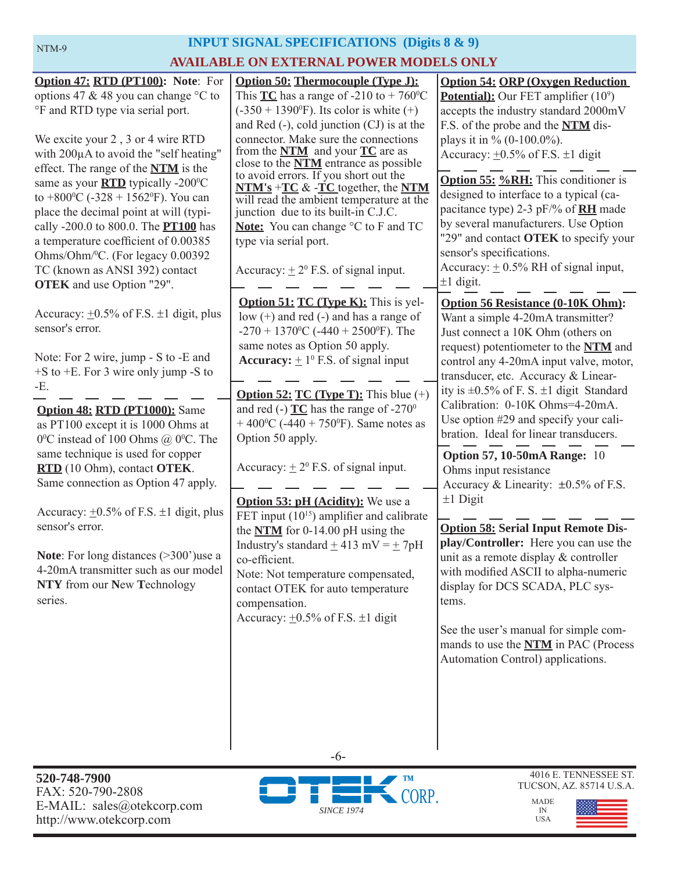### **INPUT SIGNAL SPECIFICATIONS (Digits 8 & 9) INPUT SIGNAL SPECIFICATIONS AVAILABLE ON EXTERNAL POWER MODELS ONLY**

| Option 47: RTD (PT100): Note: For<br>options 47 & 48 you can change $\degree$ C to<br>°F and RTD type via serial port.                                                                                                                                                                                                                                                                                                                                                                  | <b>Option 50: Thermocouple (Type J):</b><br>This <b>TC</b> has a range of -210 to + 760 <sup>o</sup> C<br>$(-350 + 1390^{\circ}F)$ . Its color is white $(+)$<br>and Red $(-)$ , cold junction $(CJ)$ is at the                                                                                                                                                                                                   | <b>Option 54: ORP (Oxygen Reduction)</b><br><b>Potential):</b> Our FET amplifier $(10^9)$<br>accepts the industry standard 2000mV<br>F.S. of the probe and the NTM dis-                                                                                                                                                                                                                     |
|-----------------------------------------------------------------------------------------------------------------------------------------------------------------------------------------------------------------------------------------------------------------------------------------------------------------------------------------------------------------------------------------------------------------------------------------------------------------------------------------|-------------------------------------------------------------------------------------------------------------------------------------------------------------------------------------------------------------------------------------------------------------------------------------------------------------------------------------------------------------------------------------------------------------------|---------------------------------------------------------------------------------------------------------------------------------------------------------------------------------------------------------------------------------------------------------------------------------------------------------------------------------------------------------------------------------------------|
| We excite your 2, 3 or 4 wire RTD<br>with 200µA to avoid the "self heating"<br>effect. The range of the <b>NTM</b> is the<br>same as your <b>RTD</b> typically -200°C<br>to +800 $\degree$ C (-328 + 1562 $\degree$ F). You can<br>place the decimal point at will (typi-<br>cally -200.0 to 800.0. The <b>PT100</b> has<br>a temperature coefficient of 0.00385<br>Ohms/Ohm/ <sup>0</sup> C. (For legacy 0.00392<br>TC (known as ANSI 392) contact<br><b>OTEK</b> and use Option "29". | connector. Make sure the connections<br>from the $NTM$ and your $TC$ are as<br>close to the <b>NTM</b> entrance as possible<br>to avoid errors. If you short out the<br>$NTM's + TC & FC$ together, the NTM<br>will read the ambient temperature at the<br>junction due to its built-in C.J.C.<br>Note: You can change °C to F and TC<br>type via serial port.<br>Accuracy: $\pm 2^{\circ}$ F.S. of signal input. | plays it in % $(0-100.0\%)$ .<br>Accuracy: $\pm 0.5\%$ of F.S. $\pm 1$ digit<br><b>Option 55: %RH:</b> This conditioner is<br>designed to interface to a typical (ca-<br>pacitance type) 2-3 pF/% of <b>RH</b> made<br>by several manufacturers. Use Option<br>"29" and contact OTEK to specify your<br>sensor's specifications.<br>Accuracy: $\pm$ 0.5% RH of signal input,<br>$±1$ digit. |
| Accuracy: $\pm 0.5\%$ of F.S. $\pm 1$ digit, plus<br>sensor's error.<br>Note: For 2 wire, jump - S to -E and<br>$+$ S to $+$ E. For 3 wire only jump -S to                                                                                                                                                                                                                                                                                                                              | <b>Option 51: TC (Type K):</b> This is yel-<br>low $(+)$ and red $(-)$ and has a range of<br>-270 + 1370 <sup>o</sup> C (-440 + 2500 <sup>o</sup> F). The<br>same notes as Option 50 apply.<br><b>Accuracy:</b> $\pm 1^0$ F.S. of signal input                                                                                                                                                                    | <b>Option 56 Resistance (0-10K Ohm):</b><br>Want a simple 4-20mA transmitter?<br>Just connect a 10K Ohm (others on<br>request) potentiometer to the NTM and<br>control any 4-20mA input valve, motor,<br>transducer, etc. Accuracy & Linear-                                                                                                                                                |
| -E.<br>Option 48: RTD (PT1000): Same<br>as PT100 except it is 1000 Ohms at<br>0 <sup>o</sup> C instead of 100 Ohms @ $0^{\circ}$ C. The                                                                                                                                                                                                                                                                                                                                                 | <b>Option 52: TC (Type T):</b> This blue $(+)$<br>and red (-) $TC$ has the range of -270 <sup>0</sup><br>+ 400 °C (-440 + 750 °F). Same notes as<br>Option 50 apply.                                                                                                                                                                                                                                              | ity is $\pm 0.5\%$ of F. S. $\pm 1$ digit Standard<br>Calibration: 0-10K Ohms=4-20mA.<br>Use option #29 and specify your cali-<br>bration. Ideal for linear transducers.                                                                                                                                                                                                                    |
| same technique is used for copper<br>RTD (10 Ohm), contact OTEK.<br>Same connection as Option 47 apply.<br>Accuracy: $\pm 0.5\%$ of F.S. $\pm 1$ digit, plus                                                                                                                                                                                                                                                                                                                            | Accuracy: $\pm 2^0$ F.S. of signal input.<br><b>Option 53: pH (Acidity):</b> We use a                                                                                                                                                                                                                                                                                                                             | <b>Option 57, 10-50mA Range: 10</b><br>Ohms input resistance<br>Accuracy & Linearity: $\pm 0.5\%$ of F.S.<br>$±1$ Digit                                                                                                                                                                                                                                                                     |
| sensor's error.<br><b>Note:</b> For long distances $(>300)$ use a<br>4-20mA transmitter such as our model<br>NTY from our New Technology<br>series.                                                                                                                                                                                                                                                                                                                                     | FET input $(10^{15})$ amplifier and calibrate<br>the $NTM$ for 0-14.00 pH using the<br>Industry's standard $\pm$ 413 mV = $\pm$ 7pH<br>co-efficient<br>Note: Not temperature compensated,<br>contact OTEK for auto temperature<br>compensation.<br>Accuracy: $\pm 0.5\%$ of F.S. $\pm 1$ digit                                                                                                                    | <b>Option 58: Serial Input Remote Dis-</b><br>play/Controller: Here you can use the<br>unit as a remote display & controller<br>with modified ASCII to alpha-numeric<br>display for DCS SCADA, PLC sys-<br>tems.<br>See the user's manual for simple com-<br>mands to use the <b>NTM</b> in PAC (Process<br>Automation Control) applications.                                               |

**520-748-7900** FAX: 520-790-2808 E-MAIL: sales@otekcorp.com http://www.otekcorp.com



-6-

4016 E. TENNESSEE ST. TUCSON, AZ. 85714 U.S.A.

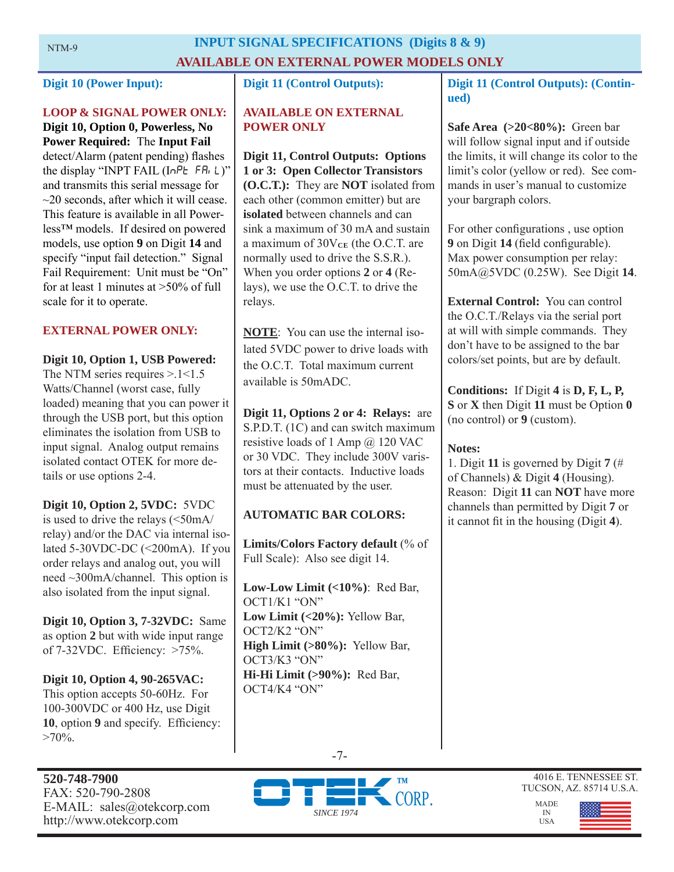#### **INPUT SIGNAL SPECIFICATIONS (Digits 8 & 9) AVAILABLE ON EXTERNAL POWER MODELS ONLY**

#### **Digit 10 (Power Input):**

#### **LOOP & SIGNAL POWER ONLY:**

**Digit 10, Option 0, Powerless, No Power Required:** The **Input Fail**  detect/Alarm (patent pending) flashes the display "INPT FAIL  $(InPE$  FR<sub>i</sub> L)" and transmits this serial message for  $\sim$ 20 seconds, after which it will cease. This feature is available in all Powerless™ models. If desired on powered models, use option **9** on Digit **14** and specify "input fail detection." Signal Fail Requirement: Unit must be "On" for at least 1 minutes at >50% of full scale for it to operate.

#### **EXTERNAL POWER ONLY:**

**Digit 10, Option 1, USB Powered:**  The NTM series requires  $> 1 < 1.5$ Watts/Channel (worst case, fully loaded) meaning that you can power it through the USB port, but this option eliminates the isolation from USB to input signal. Analog output remains isolated contact OTEK for more details or use options 2-4.

**Digit 10, Option 2, 5VDC:** 5VDC is used to drive the relays (<50mA/ relay) and/or the DAC via internal isolated 5-30VDC-DC (<200mA). If you order relays and analog out, you will need ~300mA/channel. This option is also isolated from the input signal.

**Digit 10, Option 3, 7-32VDC:** Same as option **2** but with wide input range of 7-32VDC. Efficiency: >75%.

**Digit 10, Option 4, 90-265VAC:** This option accepts 50-60Hz. For 100-300VDC or 400 Hz, use Digit **10**, option **9** and specify. Efficiency:  $>70\%$ .

#### **Digit 11 (Control Outputs):**

#### **AVAILABLE ON EXTERNAL POWER ONLY**

**Digit 11, Control Outputs: Options 1 or 3: Open Collector Transistors (O.C.T.):** They are **NOT** isolated from each other (common emitter) but are **isolated** between channels and can sink a maximum of 30 mA and sustain a maximum of  $30V_{CE}$  (the O.C.T. are normally used to drive the S.S.R.). When you order options **2** or **4** (Relays), we use the O.C.T. to drive the relays.

**NOTE**: You can use the internal isolated 5VDC power to drive loads with the O.C.T. Total maximum current available is 50mADC.

**Digit 11, Options 2 or 4: Relays:** are S.P.D.T. (1C) and can switch maximum resistive loads of 1 Amp @ 120 VAC or 30 VDC. They include 300V varistors at their contacts. Inductive loads must be attenuated by the user.

#### **AUTOMATIC BAR COLORS:**

**Limits/Colors Factory default** (% of Full Scale): Also see digit 14.

**Low-Low Limit (<10%)**: Red Bar, OCT1/K1 "ON" **Low Limit (<20%):** Yellow Bar, OCT2/K2 "ON" **High Limit (>80%):** Yellow Bar, OCT3/K3 "ON" **Hi-Hi Limit (>90%):** Red Bar, OCT4/K4 "ON"

**Digit 11 (Control Outputs): (Continued)** 

**Safe Area (>20<80%):** Green bar will follow signal input and if outside the limits, it will change its color to the limit's color (yellow or red). See commands in user's manual to customize your bargraph colors.

For other configurations, use option **9** on Digit **14** (field configurable). Max power consumption per relay: 50mA@5VDC (0.25W). See Digit **14**.

**External Control:** You can control the O.C.T./Relays via the serial port at will with simple commands. They don't have to be assigned to the bar colors/set points, but are by default.

**Conditions:** If Digit **4** is **D, F, L, P, S** or **X** then Digit **11** must be Option **0**  (no control) or **9** (custom).

#### **Notes:**

1. Digit **11** is governed by Digit **7** (# of Channels) & Digit **4** (Housing). Reason: Digit **11** can **NOT** have more channels than permitted by Digit **7** or it cannot fit in the housing (Digit 4).





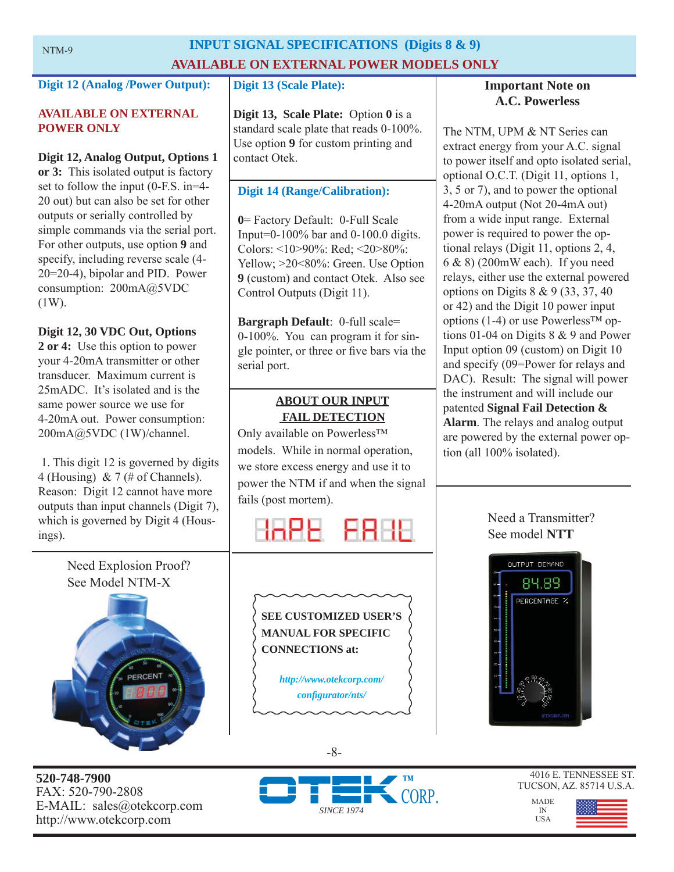### **INPUT SIGNAL SPECIFICATIONS (Digits 8 & 9) AVAILABLE ON EXTERNAL POWER MODELS ONLY**

#### **Digit 12 (Analog /Power Output):**

#### **AVAILABLE ON EXTERNAL POWER ONLY**

**Digit 12, Analog Output, Options 1 or 3:** This isolated output is factory set to follow the input (0-F.S. in=4- 20 out) but can also be set for other outputs or serially controlled by simple commands via the serial port. For other outputs, use option **9** and specify, including reverse scale (4- 20=20-4), bipolar and PID. Power consumption: 200mA@5VDC (1W).

#### **Digit 12, 30 VDC Out, Options**

**2 or 4:** Use this option to power your 4-20mA transmitter or other transducer. Maximum current is 25mADC. It's isolated and is the same power source we use for 4-20mA out. Power consumption: 200mA@5VDC (1W)/channel.

 1. This digit 12 is governed by digits 4 (Housing) & 7 (# of Channels). Reason: Digit 12 cannot have more outputs than input channels (Digit 7), which is governed by Digit 4 (Housings).

Need Explosion Proof?



**520-748-7900** FAX: 520-790-2808 E-MAIL: sales@otekcorp.com http://www.otekcorp.com

#### **Digit 13 (Scale Plate):**

**Digit 13, Scale Plate:** Option **0** is a standard scale plate that reads 0-100%. Use option **9** for custom printing and contact Otek.

#### **Digit 14 (Range/Calibration):**

**0**= Factory Default: 0-Full Scale Input=0-100% bar and 0-100.0 digits. Colors: <10>90%: Red; <20>80%: Yellow; >20<80%: Green. Use Option **9** (custom) and contact Otek. Also see Control Outputs (Digit 11).

**Bargraph Default**: 0-full scale= 0-100%. You can program it for single pointer, or three or five bars via the serial port.

#### **ABOUT OUR INPUT FAIL DETECTION**

Only available on Powerless™ models. While in normal operation, we store excess energy and use it to power the NTM if and when the signal fails (post mortem).



**SEE CUSTOMIZED USER'S MANUAL FOR SPECIFIC CONNECTIONS at:** 

> *http://www.otekcorp.com/ confi gurator/nts/*

#### **Important Note on A.C. Powerless**

The NTM, UPM & NT Series can extract energy from your A.C. signal to power itself and opto isolated serial, optional O.C.T. (Digit 11, options 1, 3, 5 or 7), and to power the optional 4-20mA output (Not 20-4mA out) from a wide input range. External power is required to power the optional relays (Digit 11, options 2, 4, 6 & 8) (200mW each). If you need relays, either use the external powered options on Digits 8 & 9 (33, 37, 40 or 42) and the Digit 10 power input options (1-4) or use Powerless™ options 01-04 on Digits 8 & 9 and Power Input option 09 (custom) on Digit 10 and specify (09=Power for relays and DAC). Result: The signal will power the instrument and will include our patented **Signal Fail Detection & Alarm**. The relays and analog output are powered by the external power option (all 100% isolated).

#### Need a Transmitter? See model **NTT**



MADE IN USA

4016 E. TENNESSEE ST. TUCSON, AZ. 85714 U.S.A.



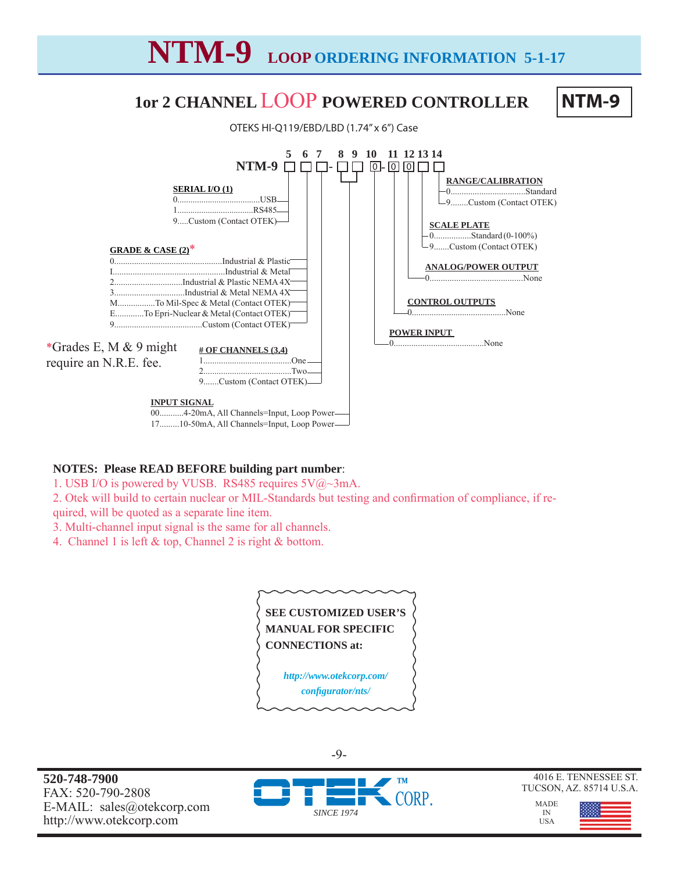# **NTM-9 LOOP ORDERING INFORMATION 5-1-17**

# **1or 2 CHANNEL** LOOP **POWERED CONTROLLER**

NTM-9



#### **NOTES: Please READ BEFORE building part number**:

- 1. USB I/O is powered by VUSB. RS485 requires 5V@~3mA.
- 2. Otek will build to certain nuclear or MIL-Standards but testing and confirmation of compliance, if re-

quired, will be quoted as a separate line item.

- 3. Multi-channel input signal is the same for all channels.
- 4. Channel 1 is left & top, Channel 2 is right & bottom.



**520-748-7900** FAX: 520-790-2808 E-MAIL: sales@otekcorp.com http://www.otekcorp.com



-9-

4016 E. TENNESSEE ST. TUCSON, AZ. 85714 U.S.A.

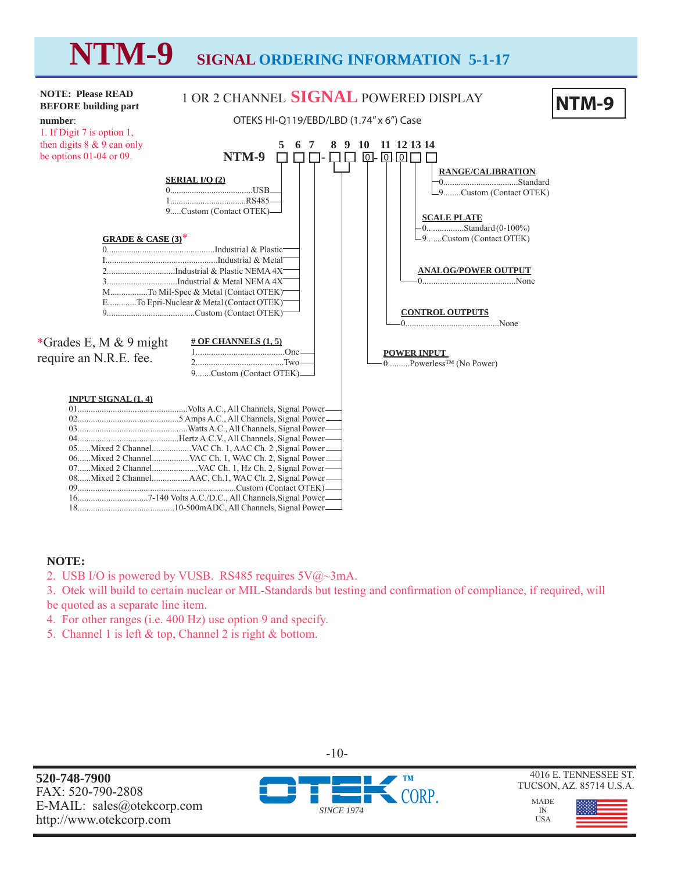

#### **NOTE:**

2. USB I/O is powered by VUSB. RS485 requires  $5V@\sim 3mA$ .

3. Otek will build to certain nuclear or MIL-Standards but testing and confirmation of compliance, if required, will be quoted as a separate line item.

- 4. For other ranges (i.e. 400 Hz) use option 9 and specify.
- 5. Channel 1 is left & top, Channel 2 is right & bottom.

**520-748-7900** FAX: 520-790-2808 E-MAIL: sales@otekcorp.com http://www.otekcorp.com

*SINCE 1974*

-10-

4016 E. TENNESSEE ST. TUCSON, AZ. 85714 U.S.A.



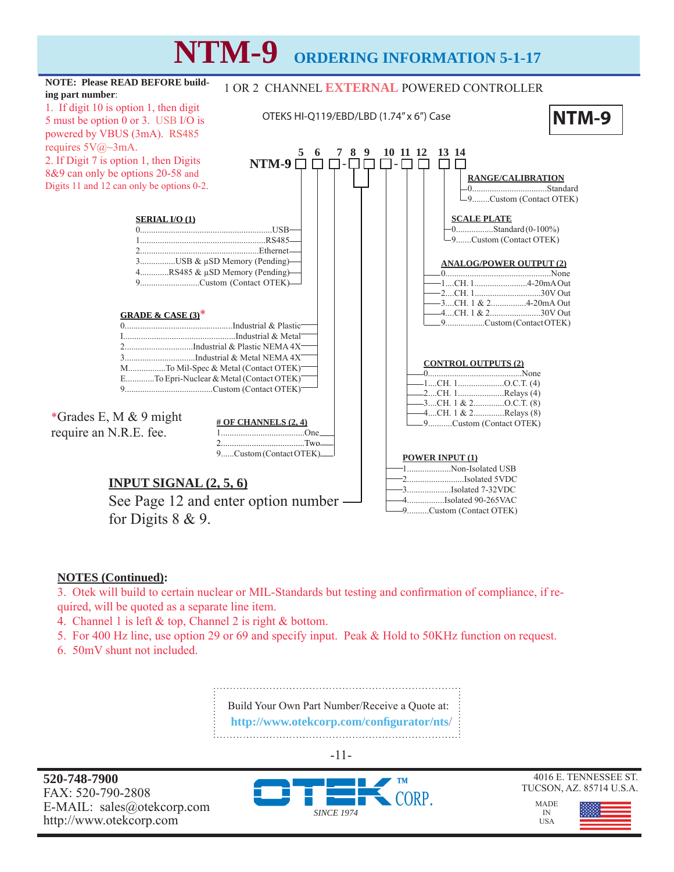

#### **NOTES (Continued):**

3. Otek will build to certain nuclear or MIL-Standards but testing and confirmation of compliance, if required, will be quoted as a separate line item.

- 4. Channel 1 is left & top, Channel 2 is right & bottom.
- 5. For 400 Hz line, use option 29 or 69 and specify input. Peak & Hold to 50KHz function on request.
- 6. 50mV shunt not included.

Build Your Own Part Number/Receive a Quote at:  **http://www.otekcorp.com/confi gurator/nts**/ 

-11-

**520-748-7900** FAX: 520-790-2808 E-MAIL: sales@otekcorp.com http://www.otekcorp.com





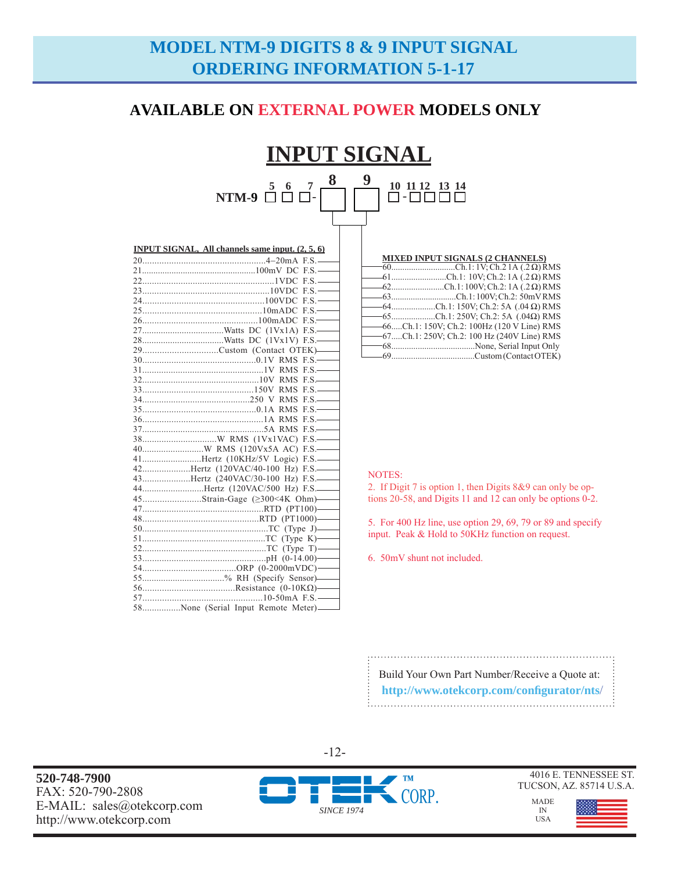## **MODEL NTM-9 DIGITS 8 & 9 INPUT SIGNAL ORDERING INFORMATION 5-1-17**

#### **AVAILABLE ON EXTERNAL POWER MODELS ONLY**

#### **INPUT SIGNAL 5 6 7**  NTM-9 □ □ □-**8 9**  - **10 11 12 13 14**

| <b>INPUT SIGNAL, All channels same input. (2, 5, 6)</b> |  |  |
|---------------------------------------------------------|--|--|
|                                                         |  |  |
|                                                         |  |  |
|                                                         |  |  |
|                                                         |  |  |
|                                                         |  |  |
|                                                         |  |  |
|                                                         |  |  |
|                                                         |  |  |
|                                                         |  |  |
| 29Custom (Contact OTEK)-                                |  |  |
|                                                         |  |  |
|                                                         |  |  |
|                                                         |  |  |
|                                                         |  |  |
|                                                         |  |  |
|                                                         |  |  |
|                                                         |  |  |
|                                                         |  |  |
|                                                         |  |  |
|                                                         |  |  |
| 41Hertz (10KHz/5V Logic) F.S.-                          |  |  |
| 42Hertz (120VAC/40-100 Hz) F.S.                         |  |  |
| 43Hertz (240VAC/30-100 Hz) F.S.                         |  |  |
| 44Hertz (120VAC/500 Hz) F.S.                            |  |  |
| 45Strain-Gage (≥300<4K Ohm)——                           |  |  |
|                                                         |  |  |
|                                                         |  |  |
|                                                         |  |  |
|                                                         |  |  |
|                                                         |  |  |
|                                                         |  |  |
|                                                         |  |  |
| 55% RH (Specify Sensor)-                                |  |  |
|                                                         |  |  |
|                                                         |  |  |
| 58None (Serial Input Remote Meter)_____                 |  |  |

### **MIXED INPUT SIGNALS (2 CHANNELS)** 60.............................Ch.1: 1V; Ch.2 1A (.2 Ω) RMS

| $-61$ Ch.1: 10V; Ch.2: 1A (.2 $\Omega$ ) RMS   |
|------------------------------------------------|
| $-62$ Ch.1:100V; Ch.2:1A (.2 Ω) RMS            |
| -63Ch.1:100V; Ch.2: 50mVRMS                    |
| $-64$ Ch.1: 150V; Ch.2: 5A (.04 $\Omega$ ) RMS |
| $-65$ Ch.1: 250V; Ch.2: 5A (.04 $\Omega$ ) RMS |
| -66Ch.1: 150V; Ch.2: 100Hz (120 V Line) RMS    |
| -67Ch.1: 250V; Ch.2: 100 Hz (240V Line) RMS    |
|                                                |
|                                                |
|                                                |

#### NOTES:

2. If Digit 7 is option 1, then Digits 8&9 can only be options 20-58, and Digits 11 and 12 can only be options 0-2.

5. For 400 Hz line, use option 29, 69, 79 or 89 and specify input. Peak & Hold to 50KHz function on request.

6. 50mV shunt not included.

Build Your Own Part Number/Receive a Quote at:  **http://www.otekcorp.com/confi gurator/nts**/ 

**520-748-7900** FAX: 520-790-2808 E-MAIL: sales@otekcorp.com http://www.otekcorp.com



-12-

4016 E. TENNESSEE ST. TUCSON, AZ. 85714 U.S.A.